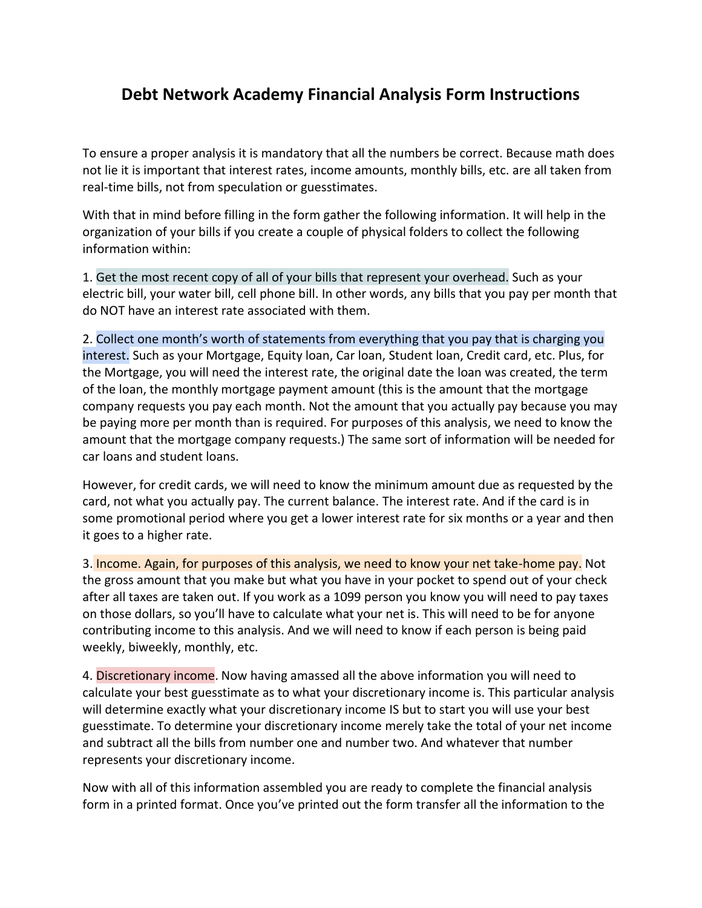## **Debt Network Academy Financial Analysis Form Instructions**

To ensure a proper analysis it is mandatory that all the numbers be correct. Because math does not lie it is important that interest rates, income amounts, monthly bills, etc. are all taken from real-time bills, not from speculation or guesstimates.

With that in mind before filling in the form gather the following information. It will help in the organization of your bills if you create a couple of physical folders to collect the following information within:

1. Get the most recent copy of all of your bills that represent your overhead. Such as your electric bill, your water bill, cell phone bill. In other words, any bills that you pay per month that do NOT have an interest rate associated with them.

2. Collect one month's worth of statements from everything that you pay that is charging you interest. Such as your Mortgage, Equity loan, Car loan, Student loan, Credit card, etc. Plus, for the Mortgage, you will need the interest rate, the original date the loan was created, the term of the loan, the monthly mortgage payment amount (this is the amount that the mortgage company requests you pay each month. Not the amount that you actually pay because you may be paying more per month than is required. For purposes of this analysis, we need to know the amount that the mortgage company requests.) The same sort of information will be needed for car loans and student loans.

However, for credit cards, we will need to know the minimum amount due as requested by the card, not what you actually pay. The current balance. The interest rate. And if the card is in some promotional period where you get a lower interest rate for six months or a year and then it goes to a higher rate.

3. Income. Again, for purposes of this analysis, we need to know your net take-home pay. Not the gross amount that you make but what you have in your pocket to spend out of your check after all taxes are taken out. If you work as a 1099 person you know you will need to pay taxes on those dollars, so you'll have to calculate what your net is. This will need to be for anyone contributing income to this analysis. And we will need to know if each person is being paid weekly, biweekly, monthly, etc.

4. Discretionary income. Now having amassed all the above information you will need to calculate your best guesstimate as to what your discretionary income is. This particular analysis will determine exactly what your discretionary income IS but to start you will use your best guesstimate. To determine your discretionary income merely take the total of your net income and subtract all the bills from number one and number two. And whatever that number represents your discretionary income.

Now with all of this information assembled you are ready to complete the financial analysis form in a printed format. Once you've printed out the form transfer all the information to the